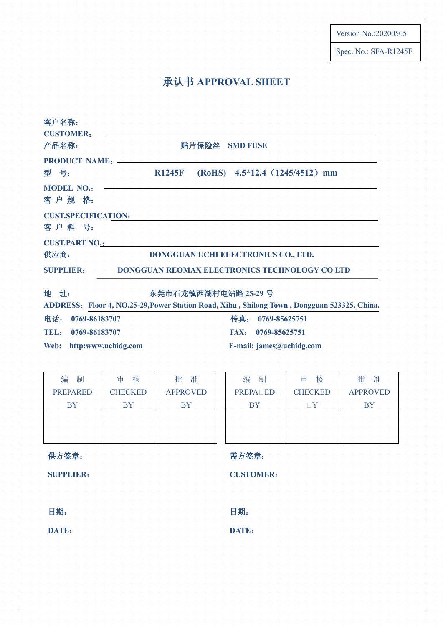Version No.:20200505

Spec. No.: SFA-R1245F

## 承认书 **APPROVAL SHEET**

| 客户名称:<br><b>CUSTOMER:</b><br>产品名称:  | 贴片保险丝<br><b>SMD FUSE</b>                                                                                           |
|-------------------------------------|--------------------------------------------------------------------------------------------------------------------|
| <b>PRODUCT NAME:</b><br>型号:         | $4.5*12.4$ (1245/4512) mm<br>(RoHS)<br><b>R1245F</b>                                                               |
| <b>MODEL NO.:</b><br>客户规格:          |                                                                                                                    |
| <b>CUST.SPECIFICATION:</b><br>客户料号: |                                                                                                                    |
| <b>CUST.PART NO.:</b><br>供应商:       | DONGGUAN UCHI ELECTRONICS CO., LTD.                                                                                |
| <b>SUPPLIER:</b>                    | DONGGUAN REOMAX ELECTRONICS TECHNOLOGY CO LTD                                                                      |
| 地址:                                 | 东莞市石龙镇西湖村电站路 25-29号<br>ADDRESS: Floor 4, NO.25-29, Power Station Road, Xihu, Shilong Town, Dongguan 523325, China. |
| 电话:<br>0769-86183707                | 传真:<br>0769-85625751                                                                                               |
| TEL:<br>0769-86183707               | <b>FAX:</b><br>0769-85625751                                                                                       |
| Web:<br>http:www.uchidg.com         | E-mail: $james@uchidg.com$                                                                                         |

| 编<br>制          | 核<br>审         | 批准              | 编          |
|-----------------|----------------|-----------------|------------|
| <b>PREPARED</b> | <b>CHECKED</b> | <b>APPROVED</b> | <b>PRE</b> |
| <b>BY</b>       | BY             | BY              |            |
|                 |                |                 |            |
|                 |                |                 |            |
|                 |                |                 |            |

| 编<br>制          | 审<br>核              | 批准              |
|-----------------|---------------------|-----------------|
| <b>PREPALED</b> | <b>CHECKED</b>      | <b>APPROVED</b> |
| <b>BY</b>       | $\sqcap \mathrm{Y}$ | <b>BY</b>       |
|                 |                     |                 |
|                 |                     |                 |
|                 |                     |                 |

### 供方签章:

**SUPPLIER**:

日期:

**DATE**:

需方签章:

**CUSTOMER**:

日期:

**DATE**: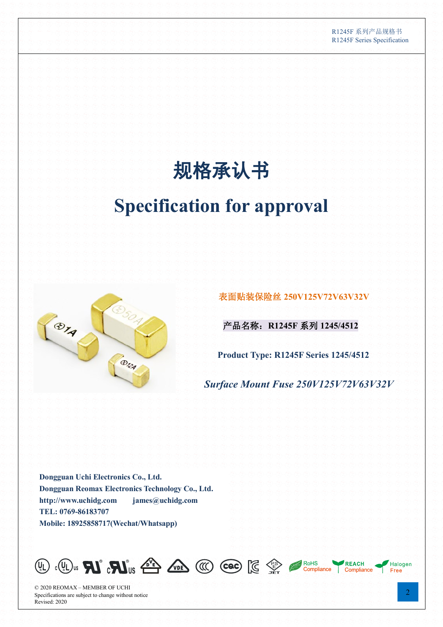#### R1245F 系列产品规格书 R1245F Series Specification

# 规格承认书

## **Specification for approval**



表面贴装保险丝 **250V125V72V63V32V**

产品名称:**R1245F** 系列 **1245/4512** 

**Product Type: R1245F Series 1245/4512**

*Surface Mount Fuse 250V125V72V63V32V*

**Dongguan Uchi Electronics Co., Ltd. Dongguan Reomax Electronics Technology Co., Ltd. [http://www.uchidg.com](http://www.uchidg.com/) [james@uchidg.com](mailto:james@uchidg.com) TEL: 0769-86183707 Mobile: 18925858717(Wechat/Whatsapp)**



© 2020 REOMAX – MEMBER OF UCHI Specifications are subject to change without notice Revised: 2020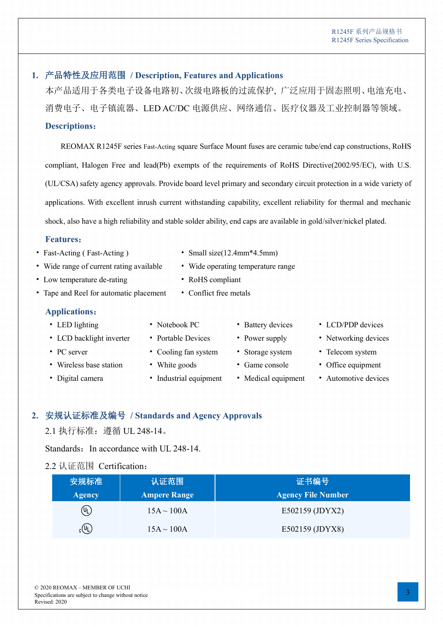### **1.** 产品特性及应用范围 **/ Description, Features and Applications**

本产品适用于各类电子设备电路初、次级电路板的过流保护, 广泛应用于固态照明、电池充电、 消费电子、电子镇流器、LED AC/DC 电源供应、网络通信、医疗仪器及工业控制器等领域。

### **Descriptions**:

REOMAX R1245F series Fast-Acting square Surface Mount fuses are ceramic tube/end cap constructions, RoHS compliant, Halogen Free and lead(Pb) exempts of the requirements of RoHS Directive(2002/95/EC), with U.S. (UL/CSA) safety agency approvals. Provide board level primary and secondary circuit protection in a wide variety of applications. With excellent inrush current withstanding capability, excellent reliability for thermal and mechanic shock, also have a high reliability and stable solder ability, end caps are available in gold/silver/nickel plated.

### **Features**:

- Fast-Acting (Fast-Acting ) **Company** Small size(12.4mm\*4.5mm)
- Wide range of current rating available Wide operating temperature range
- Low temperature de-rating **be a set of the RoHS** compliant
- Tape and Reel for automatic placement Conflict free metals

### **Applications**:

- 
- LCD backlight inverter Portable Devices Power supply Networking devices
- 
- Wireless base station White goods Game console Office equipment
- 
- 
- 
- 
- -
- 
- PC server Cooling fan system Storage system Telecom system
	-
- Digital camera Industrial equipment Medical equipment Automotive devices
- 
- 
- 
- -
- LED lighting **below that the Second vector of the Second vector is a statery devices** that LCD/PDP devices
	-
	-
	-
	-

### **2.** 安规认证标准及编号 **/ Standards and Agency Approvals**

### 2.1 执行标准:遵循 UL 248-14。

Standards: In accordance with UL 248-14.

### 2.2 认证范围 Certification:

© 2020 REOMAX – MEMBER OF UCHI Specifications are subject to change without notice

Revised: 2020

| 安规标准                     | 认证范围                | 证书编号                      |
|--------------------------|---------------------|---------------------------|
| <b>Agency</b>            | <b>Ampere Range</b> | <b>Agency File Number</b> |
| (UL)                     | $15A \sim 100A$     | E502159 (JDYX2)           |
| $_{c}$ (U <sub>L</sub> ) | $15A \sim 100A$     | E502159 (JDYX8)           |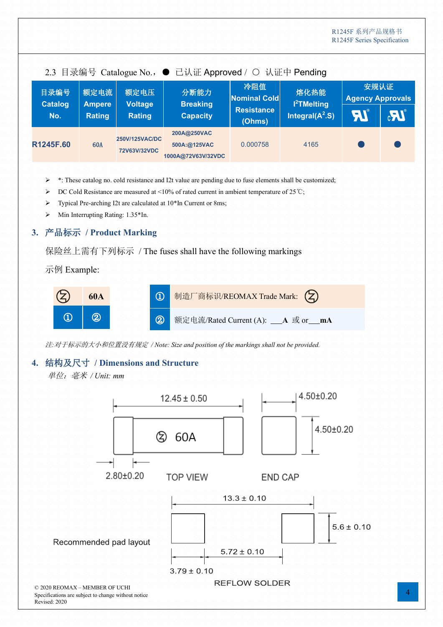| 2.3 目录编号 Catalogue No., ● 已认证 Approved / ○ 认证中 Pending |                       |                                |                                                   |                             |                                 |                                 |                      |
|--------------------------------------------------------|-----------------------|--------------------------------|---------------------------------------------------|-----------------------------|---------------------------------|---------------------------------|----------------------|
| 目录编号<br><b>Catalog</b>                                 | 额定电流<br><b>Ampere</b> | 额定电压<br><b>Voltage</b>         | 分断能力<br><b>Breaking</b>                           | 冷阻值<br><b>Nominal Cold</b>  | 熔化热能<br>l <sup>2</sup> TMelting | 安规认证<br><b>Agency Approvals</b> |                      |
| No.                                                    | Rating                | <b>Rating</b>                  | <b>Capacity</b>                                   | <b>Resistance</b><br>(Ohms) | Integral( $A^2.S$ )             | <b>AI</b>                       | $\mathbf{M}^{\circ}$ |
| R1245F.60                                              | <b>60A</b>            | 250V/125VAC/DC<br>72V63V/32VDC | 200A@250VAC<br>500A:@125VAC<br>1000A@72V63V/32VDC | 0.000758                    | 4165                            |                                 |                      |

- ➢ \*: These catalog no. cold resistance and I2t value are pending due to fuse elements shall be customized;
- ➢ DC Cold Resistance are measured at <10% of rated current in ambient temperature of 25℃;
- ➢ Typical Pre-arching I2t are calculated at 10\*In Current or 8ms;
- ➢ Min Interrupting Rating: 1.35\*In.

### **3.** 产品标示 **/ Product Marking**

保险丝上需有下列标示 / The fuses shall have the following markings

示例 Example:



注*:*对于标示的大小和位置没有规定 */ Note: Size and position of the markings shall not be provided.*

#### **4.** 结构及尺寸 **/ Dimensions and Structure**

单位:毫米 */ Unit: mm*

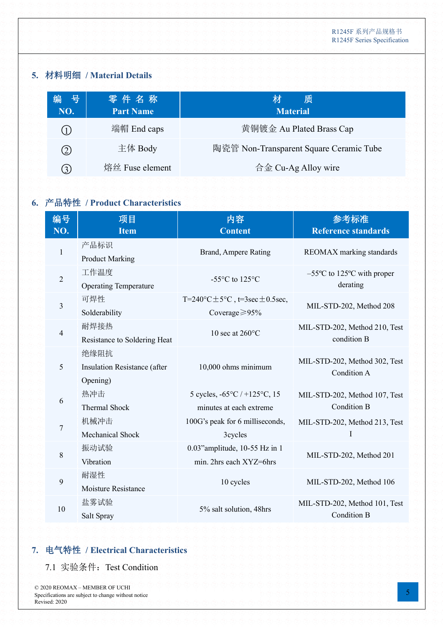### **5.** 材料明细 **/ Material Details**

| 号<br>编<br>NO. | 零件名称<br><b>Part Name</b> | 质<br>材<br><b>Material</b>                 |
|---------------|--------------------------|-------------------------------------------|
| (1)           | 端帽 End caps              | 黄铜镀金 Au Plated Brass Cap                  |
| 2)            | 主体 Body                  | 陶瓷管 Non-Transparent Square Ceramic Tube   |
| 3)            | 熔丝 Fuse element          | $\hat{\sigma} \hat{\pm}$ Cu-Ag Alloy wire |

### **6.** 产品特性 **/ Product Characteristics**

| 编号<br>NO.      | 项目<br><b>Item</b>                                | 内容<br><b>Content</b>                                                                       | 参考标准<br><b>Reference standards</b>                            |
|----------------|--------------------------------------------------|--------------------------------------------------------------------------------------------|---------------------------------------------------------------|
| $\mathbf{1}$   | 产品标识<br><b>Product Marking</b>                   | Brand, Ampere Rating                                                                       | REOMAX marking standards                                      |
| $\overline{2}$ | 工作温度<br><b>Operating Temperature</b>             | -55 $\mathrm{^{\circ}C}$ to 125 $\mathrm{^{\circ}C}$                                       | $-55^{\circ}$ C to 125 <sup>°</sup> C with proper<br>derating |
| 3              | 可焊性<br>Solderability                             | T=240 $\textdegree$ C $\pm$ 5 $\textdegree$ C, t=3sec $\pm$ 0.5sec,<br>Coverage $\geq$ 95% | MIL-STD-202, Method 208                                       |
| $\overline{4}$ | 耐焊接热<br>Resistance to Soldering Heat             | 10 sec at $260^{\circ}$ C                                                                  | MIL-STD-202, Method 210, Test<br>condition B                  |
| 5              | 绝缘阻抗<br>Insulation Resistance (after<br>Opening) | 10,000 ohms minimum                                                                        | MIL-STD-202, Method 302, Test<br>Condition A                  |
| 6              | 热冲击<br><b>Thermal Shock</b>                      | 5 cycles, $-65^{\circ}C$ / +125 $^{\circ}C$ , 15<br>minutes at each extreme                | MIL-STD-202, Method 107, Test<br><b>Condition B</b>           |
| $\overline{7}$ | 机械冲击<br>Mechanical Shock                         | 100G's peak for 6 milliseconds,<br>3cycles                                                 | MIL-STD-202, Method 213, Test<br>I                            |
| 8              | 振动试验<br>Vibration                                | 0.03" amplitude, 10-55 Hz in 1<br>min. 2hrs each XYZ=6hrs                                  | MIL-STD-202, Method 201                                       |
| 9              | 耐湿性<br>Moisture Resistance                       | 10 cycles                                                                                  | MIL-STD-202, Method 106                                       |
| 10             | 盐雾试验<br>Salt Spray                               | 5% salt solution, 48hrs                                                                    | MIL-STD-202, Method 101, Test<br>Condition B                  |

### **7.** 电气特性 **/ Electrical Characteristics**

7.1 实验条件: Test Condition

© 2020 REOMAX – MEMBER OF UCHI Specifications are subject to change without notice Revised: 2020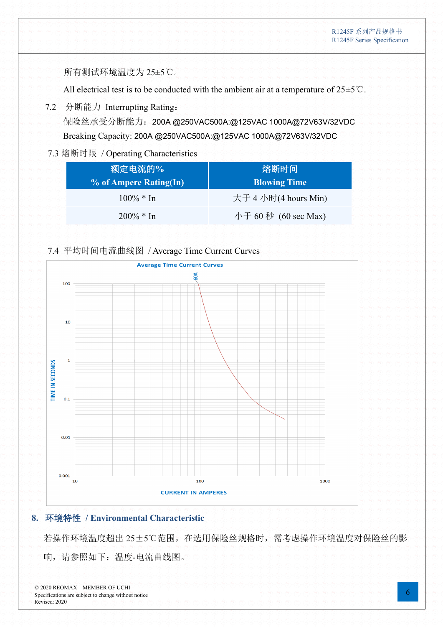所有测试环境温度为 25±5℃。

All electrical test is to be conducted with the ambient air at a temperature of 25±5℃.

7.2 分断能力 Interrupting Rating:

Breaking Capacity: 200A @250VAC500A:@125VAC 1000A@72V63V/32VDC 保险丝承受分断能力:200A @250VAC500A:@125VAC 1000A@72V63V/32VDC

### 7.3 熔断时限 / Operating Characteristics

| 额定电流的%                 | 熔断时间                 |
|------------------------|----------------------|
| % of Ampere Rating(In) | <b>Blowing Time</b>  |
| $100\% * In$           | 大于 4 小时(4 hours Min) |
| $200\% * In$           | 小于 60 秒 (60 sec Max) |

#### 7.4 平均时间电流曲线图 / Average Time Current Curves



### **8.** 环境特性 **/ Environmental Characteristic**

若操作环境温度超出 25±5℃范围,在选用保险丝规格时,需考虑操作环境温度对保险丝的影 响,请参照如下:温度-电流曲线图。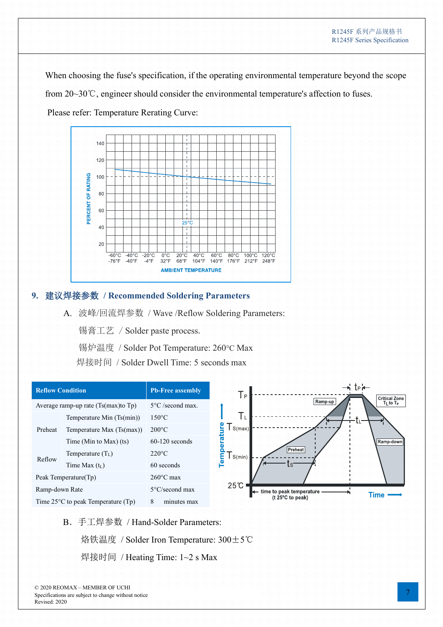When choosing the fuse's specification, if the operating environmental temperature beyond the scope from 20~30℃, engineer should consider the environmental temperature's affection to fuses. Please refer: Temperature Rerating Curve:



### **9.** 建议焊接参数 **/ Recommended Soldering Parameters**

A. 波峰/回流焊参数 / Wave /Reflow Soldering Parameters:

锡膏工艺 / Solder paste process.

锡炉温度 / Solder Pot Temperature: 260°C Max

焊接时间 / Solder Dwell Time: 5 seconds max

| <b>Reflow Condition</b>                      |                             | <b>Pb-Free assembly</b>    |
|----------------------------------------------|-----------------------------|----------------------------|
| Average ramp-up rate $(Ts(max)$ to $Tp)$     |                             | $5^{\circ}$ C /second max. |
|                                              | Temperature Min (Ts(min))   | $150^{\circ}$ C            |
| Preheat                                      | Temperature Max $(Ts(max))$ | $200^{\circ}$ C            |
|                                              | Time (Min to Max) $(ts)$    | $60-120$ seconds           |
| Reflow                                       | Temperature $(T_L)$         | $220^{\circ}$ C            |
|                                              | Time Max $(t_L)$            | 60 seconds                 |
| Peak Temperature(Tp)                         |                             | $260^{\circ}$ C max        |
| Ramp-down Rate                               |                             | 5°C/second max             |
| Time $25^{\circ}$ C to peak Temperature (Tp) |                             | 8<br>minutes max           |

B.手工焊参数 / Hand-Solder Parameters: 烙铁温度 / Solder Iron Temperature: 300±5℃

焊接时间 / Heating Time: 1~2 s Max